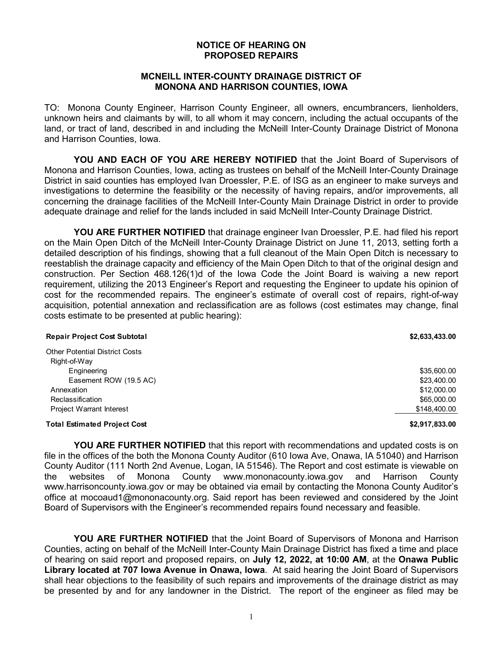## **NOTICE OF HEARING ON PROPOSED REPAIRS**

## **MCNEILL INTER-COUNTY DRAINAGE DISTRICT OF MONONA AND HARRISON COUNTIES, IOWA**

TO: Monona County Engineer, Harrison County Engineer, all owners, encumbrancers, lienholders, unknown heirs and claimants by will, to all whom it may concern, including the actual occupants of the land, or tract of land, described in and including the McNeill Inter-County Drainage District of Monona and Harrison Counties, Iowa.

**YOU AND EACH OF YOU ARE HEREBY NOTIFIED** that the Joint Board of Supervisors of Monona and Harrison Counties, Iowa, acting as trustees on behalf of the McNeill Inter-County Drainage District in said counties has employed Ivan Droessler, P.E. of ISG as an engineer to make surveys and investigations to determine the feasibility or the necessity of having repairs, and/or improvements, all concerning the drainage facilities of the McNeill Inter-County Main Drainage District in order to provide adequate drainage and relief for the lands included in said McNeill Inter-County Drainage District.

**YOU ARE FURTHER NOTIFIED** that drainage engineer Ivan Droessler, P.E. had filed his report on the Main Open Ditch of the McNeill Inter-County Drainage District on June 11, 2013, setting forth a detailed description of his findings, showing that a full cleanout of the Main Open Ditch is necessary to reestablish the drainage capacity and efficiency of the Main Open Ditch to that of the original design and construction. Per Section 468.126(1)d of the Iowa Code the Joint Board is waiving a new report requirement, utilizing the 2013 Engineer's Report and requesting the Engineer to update his opinion of cost for the recommended repairs. The engineer's estimate of overall cost of repairs, right-of-way acquisition, potential annexation and reclassification are as follows (cost estimates may change, final costs estimate to be presented at public hearing):

| <b>Repair Project Cost Subtotal</b>   | \$2,633,433.00 |
|---------------------------------------|----------------|
| <b>Other Potential District Costs</b> |                |
| Right-of-Way                          |                |
| Engineering                           | \$35,600.00    |
| Easement ROW (19.5 AC)                | \$23,400.00    |
| Annexation                            | \$12,000.00    |
| Reclassification                      | \$65,000.00    |
| Project Warrant Interest              | \$148,400.00   |
| <b>Total Estimated Project Cost</b>   | \$2,917,833.00 |

**YOU ARE FURTHER NOTIFIED** that this report with recommendations and updated costs is on file in the offices of the both the Monona County Auditor (610 Iowa Ave, Onawa, IA 51040) and Harrison County Auditor (111 North 2nd Avenue, Logan, IA 51546). The Report and cost estimate is viewable on the websites of Monona County www.mononacounty.iowa.gov and Harrison County www.harrisoncounty.iowa.gov or may be obtained via email by contacting the Monona County Auditor's office at mocoaud1@mononacounty.org. Said report has been reviewed and considered by the Joint Board of Supervisors with the Engineer's recommended repairs found necessary and feasible.

**YOU ARE FURTHER NOTIFIED** that the Joint Board of Supervisors of Monona and Harrison Counties, acting on behalf of the McNeill Inter-County Main Drainage District has fixed a time and place of hearing on said report and proposed repairs, on **July 12, 2022, at 10:00 AM**, at the **Onawa Public Library located at 707 Iowa Avenue in Onawa, Iowa**. At said hearing the Joint Board of Supervisors shall hear objections to the feasibility of such repairs and improvements of the drainage district as may be presented by and for any landowner in the District. The report of the engineer as filed may be